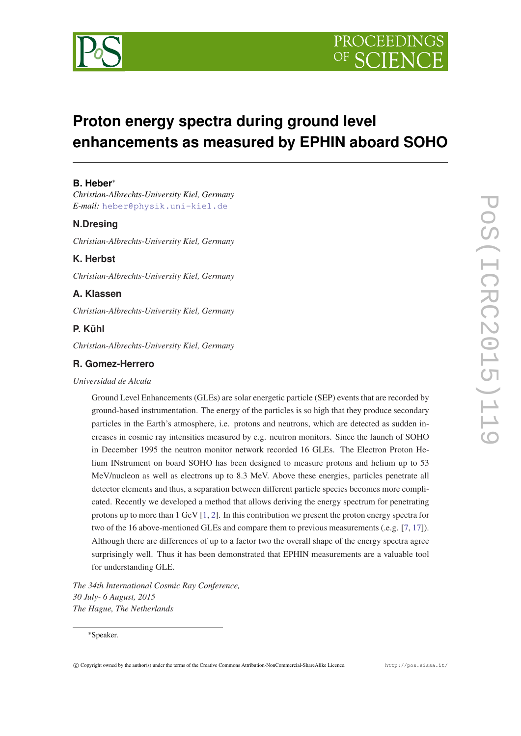

# **Proton energy spectra during ground level enhancements as measured by EPHIN aboard SOHO**

## **B. Heber**<sup>∗</sup>

*Christian-Albrechts-University Kiel, Germany E-mail:* [heber@physik.uni-kiel.de](mailto:heber@physik.uni-kiel.de)

# **N.Dresing**

*Christian-Albrechts-University Kiel, Germany*

## **K. Herbst**

*Christian-Albrechts-University Kiel, Germany*

# **A. Klassen**

*Christian-Albrechts-University Kiel, Germany*

## **P. Kühl**

*Christian-Albrechts-University Kiel, Germany*

## **R. Gomez-Herrero**

*Universidad de Alcala*

Ground Level Enhancements (GLEs) are solar energetic particle (SEP) events that are recorded by ground-based instrumentation. The energy of the particles is so high that they produce secondary particles in the Earth's atmosphere, i.e. protons and neutrons, which are detected as sudden increases in cosmic ray intensities measured by e.g. neutron monitors. Since the launch of SOHO in December 1995 the neutron monitor network recorded 16 GLEs. The Electron Proton Helium INstrument on board SOHO has been designed to measure protons and helium up to 53 MeV/nucleon as well as electrons up to 8.3 MeV. Above these energies, particles penetrate all detector elements and thus, a separation between different particle species becomes more complicated. Recently we developed a method that allows deriving the energy spectrum for penetrating protons up to more than  $1 \text{ GeV } [1, 2]$  $1 \text{ GeV } [1, 2]$  $1 \text{ GeV } [1, 2]$  $1 \text{ GeV } [1, 2]$  $1 \text{ GeV } [1, 2]$ . In this contribution we present the proton energy spectra for two of the 16 above-mentioned GLEs and compare them to previous measurements (.e.g. [[7,](#page-6-0) [17](#page-7-0)]). Although there are differences of up to a factor two the overall shape of the energy spectra agree surprisingly well. Thus it has been demonstrated that EPHIN measurements are a valuable tool for understanding GLE.

*The 34th International Cosmic Ray Conference, 30 July- 6 August, 2015 The Hague, The Netherlands*

#### <sup>∗</sup>Speaker.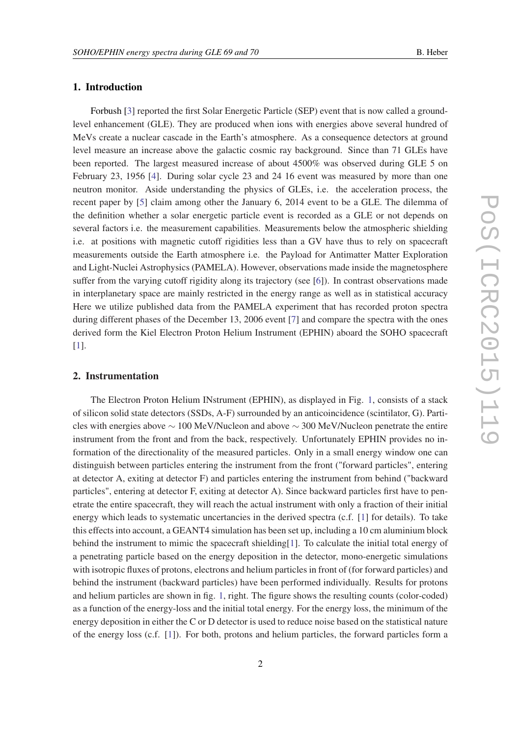# 1. Introduction

Forbush [\[3\]](#page-6-0) reported the first Solar Energetic Particle (SEP) event that is now called a groundlevel enhancement (GLE). They are produced when ions with energies above several hundred of MeVs create a nuclear cascade in the Earth's atmosphere. As a consequence detectors at ground level measure an increase above the galactic cosmic ray background. Since than 71 GLEs have been reported. The largest measured increase of about 4500% was observed during GLE 5 on February 23, 1956 [\[4\]](#page-6-0). During solar cycle 23 and 24 16 event was measured by more than one neutron monitor. Aside understanding the physics of GLEs, i.e. the acceleration process, the recent paper by [[5](#page-6-0)] claim among other the January 6, 2014 event to be a GLE. The dilemma of the definition whether a solar energetic particle event is recorded as a GLE or not depends on several factors i.e. the measurement capabilities. Measurements below the atmospheric shielding i.e. at positions with magnetic cutoff rigidities less than a GV have thus to rely on spacecraft measurements outside the Earth atmosphere i.e. the Payload for Antimatter Matter Exploration and Light-Nuclei Astrophysics (PAMELA). However, observations made inside the magnetosphere suffer from the varying cutoff rigidity along its trajectory (see [\[6\]](#page-6-0)). In contrast observations made in interplanetary space are mainly restricted in the energy range as well as in statistical accuracy Here we utilize published data from the PAMELA experiment that has recorded proton spectra during different phases of the December 13, 2006 event [[7](#page-6-0)] and compare the spectra with the ones derived form the Kiel Electron Proton Helium Instrument (EPHIN) aboard the SOHO spacecraft [[1](#page-6-0)].

# 2. Instrumentation

The Electron Proton Helium INstrument (EPHIN), as displayed in Fig. [1,](#page-2-0) consists of a stack of silicon solid state detectors (SSDs, A-F) surrounded by an anticoincidence (scintilator, G). Particles with energies above  $\sim 100$  MeV/Nucleon and above  $\sim 300$  MeV/Nucleon penetrate the entire instrument from the front and from the back, respectively. Unfortunately EPHIN provides no information of the directionality of the measured particles. Only in a small energy window one can distinguish between particles entering the instrument from the front ("forward particles", entering at detector A, exiting at detector F) and particles entering the instrument from behind ("backward particles", entering at detector F, exiting at detector A). Since backward particles first have to penetrate the entire spacecraft, they will reach the actual instrument with only a fraction of their initial energy which leads to systematic uncertancies in the derived spectra (c.f. [\[1\]](#page-6-0) for details). To take this effects into account, a GEANT4 simulation has been set up, including a 10 cm aluminium block behind the instrument to mimic the spacecraft shielding[\[1\]](#page-6-0). To calculate the initial total energy of a penetrating particle based on the energy deposition in the detector, mono-energetic simulations with isotropic fluxes of protons, electrons and helium particles in front of (for forward particles) and behind the instrument (backward particles) have been performed individually. Results for protons and helium particles are shown in fig. [1](#page-2-0), right. The figure shows the resulting counts (color-coded) as a function of the energy-loss and the initial total energy. For the energy loss, the minimum of the energy deposition in either the C or D detector is used to reduce noise based on the statistical nature of the energy loss (c.f. [[1](#page-6-0)]). For both, protons and helium particles, the forward particles form a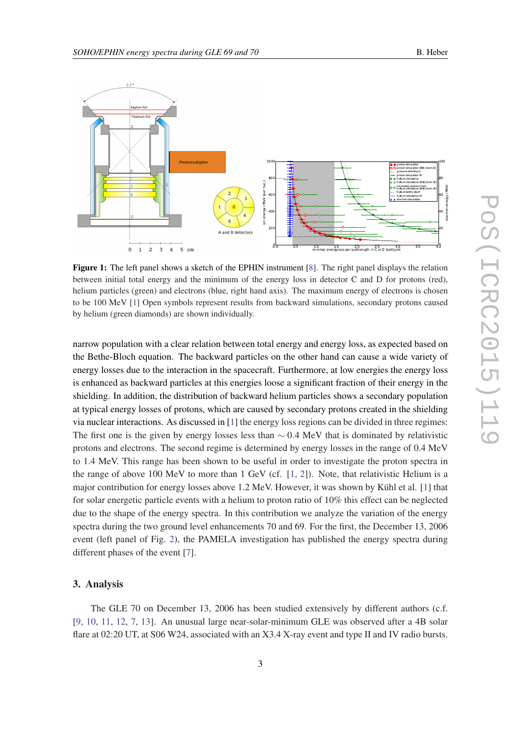<span id="page-2-0"></span>

Figure 1: The left panel shows a sketch of the EPHIN instrument [\[8](#page-6-0)]. The right panel displays the relation between initial total energy and the minimum of the energy loss in detector C and D for protons (red), helium particles (green) and electrons (blue, right hand axis). The maximum energy of electrons is chosen to be 100 MeV [[1\]](#page-6-0) Open symbols represent results from backward simulations, secondary protons caused by helium (green diamonds) are shown individually.

narrow population with a clear relation between total energy and energy loss, as expected based on the Bethe-Bloch equation. The backward particles on the other hand can cause a wide variety of energy losses due to the interaction in the spacecraft. Furthermore, at low energies the energy loss is enhanced as backward particles at this energies loose a significant fraction of their energy in the shielding. In addition, the distribution of backward helium particles shows a secondary population at typical energy losses of protons, which are caused by secondary protons created in the shielding via nuclear interactions. As discussed in [[1](#page-6-0)] the energy loss regions can be divided in three regimes: The first one is the given by energy losses less than  $\sim 0.4$  MeV that is dominated by relativistic protons and electrons. The second regime is determined by energy losses in the range of 0.4 MeV to 1.4 MeV. This range has been shown to be useful in order to investigate the proton spectra in the range of above 100 MeV to more than 1 GeV (cf. [\[1,](#page-6-0) [2](#page-6-0)]). Note, that relativistic Helium is a major contribution for energy losses above 1.2 MeV. However, it was shown by Kühl et al. [[1](#page-6-0)] that for solar energetic particle events with a helium to proton ratio of 10% this effect can be neglected due to the shape of the energy spectra. In this contribution we analyze the variation of the energy spectra during the two ground level enhancements 70 and 69. For the first, the December 13, 2006 event (left panel of Fig. [2](#page-3-0)), the PAMELA investigation has published the energy spectra during different phases of the event [[7](#page-6-0)].

## 3. Analysis

The GLE 70 on December 13, 2006 has been studied extensively by different authors (c.f. [[9](#page-6-0), [10](#page-7-0), [11](#page-7-0), [12,](#page-7-0) [7](#page-6-0), [13](#page-7-0)]. An unusual large near-solar-minimum GLE was observed after a 4B solar flare at 02:20 UT, at S06 W24, associated with an X3.4 X-ray event and type II and IV radio bursts.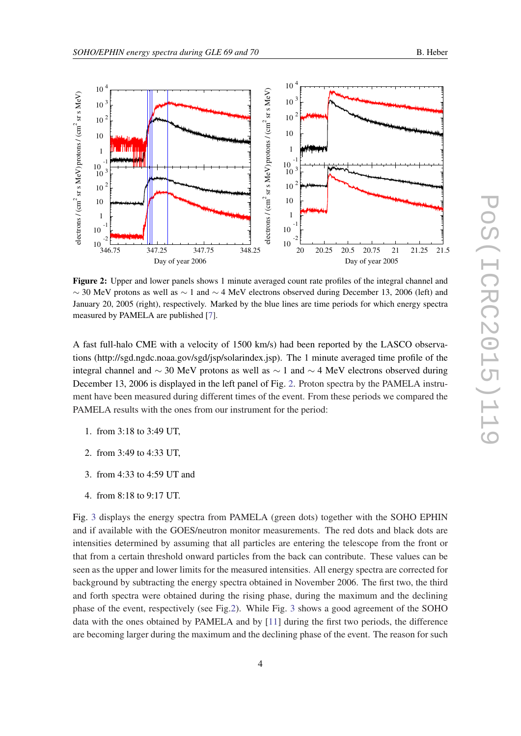<span id="page-3-0"></span>

Figure 2: Upper and lower panels shows 1 minute averaged count rate profiles of the integral channel and  $\sim$  30 MeV protons as well as  $\sim$  1 and  $\sim$  4 MeV electrons observed during December 13, 2006 (left) and January 20, 2005 (right), respectively. Marked by the blue lines are time periods for which energy spectra measured by PAMELA are published [\[7](#page-6-0)].

A fast full-halo CME with a velocity of 1500 km/s) had been reported by the LASCO observations (http://sgd.ngdc.noaa.gov/sgd/jsp/solarindex.jsp). The 1 minute averaged time profile of the integral channel and  $\sim$  30 MeV protons as well as  $\sim$  1 and  $\sim$  4 MeV electrons observed during December 13, 2006 is displayed in the left panel of Fig. 2. Proton spectra by the PAMELA instrument have been measured during different times of the event. From these periods we compared the PAMELA results with the ones from our instrument for the period:

- 1. from 3:18 to 3:49 UT,
- 2. from 3:49 to 4:33 UT,
- 3. from 4:33 to 4:59 UT and
- 4. from 8:18 to 9:17 UT.

Fig. [3](#page-4-0) displays the energy spectra from PAMELA (green dots) together with the SOHO EPHIN and if available with the GOES/neutron monitor measurements. The red dots and black dots are intensities determined by assuming that all particles are entering the telescope from the front or that from a certain threshold onward particles from the back can contribute. These values can be seen as the upper and lower limits for the measured intensities. All energy spectra are corrected for background by subtracting the energy spectra obtained in November 2006. The first two, the third and forth spectra were obtained during the rising phase, during the maximum and the declining phase of the event, respectively (see Fig.2). While Fig. [3](#page-4-0) shows a good agreement of the SOHO data with the ones obtained by PAMELA and by [[11\]](#page-7-0) during the first two periods, the difference are becoming larger during the maximum and the declining phase of the event. The reason for such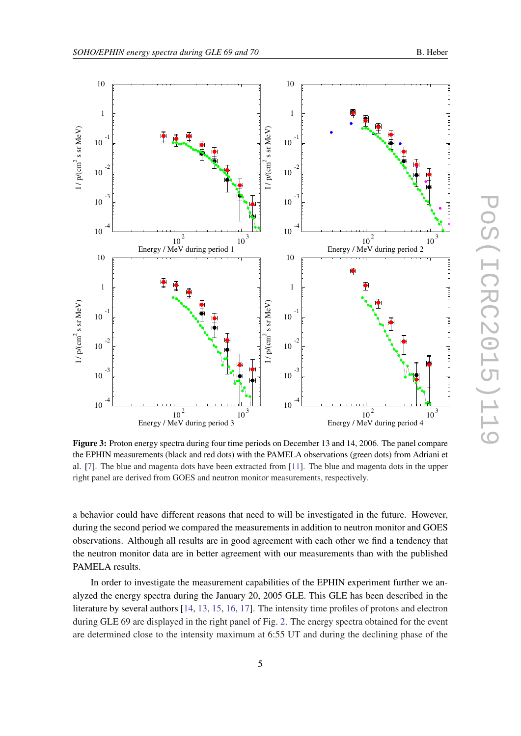

<span id="page-4-0"></span>

Figure 3: Proton energy spectra during four time periods on December 13 and 14, 2006. The panel compare the EPHIN measurements (black and red dots) with the PAMELA observations (green dots) from Adriani et al. [\[7](#page-6-0)]. The blue and magenta dots have been extracted from [\[11](#page-7-0)]. The blue and magenta dots in the upper right panel are derived from GOES and neutron monitor measurements, respectively.

a behavior could have different reasons that need to will be investigated in the future. However, during the second period we compared the measurements in addition to neutron monitor and GOES observations. Although all results are in good agreement with each other we find a tendency that the neutron monitor data are in better agreement with our measurements than with the published PAMELA results.

In order to investigate the measurement capabilities of the EPHIN experiment further we analyzed the energy spectra during the January 20, 2005 GLE. This GLE has been described in the literature by several authors [[14,](#page-7-0) [13,](#page-7-0) [15](#page-7-0), [16](#page-7-0), [17](#page-7-0)]. The intensity time profiles of protons and electron during GLE 69 are displayed in the right panel of Fig. [2.](#page-3-0) The energy spectra obtained for the event are determined close to the intensity maximum at 6:55 UT and during the declining phase of the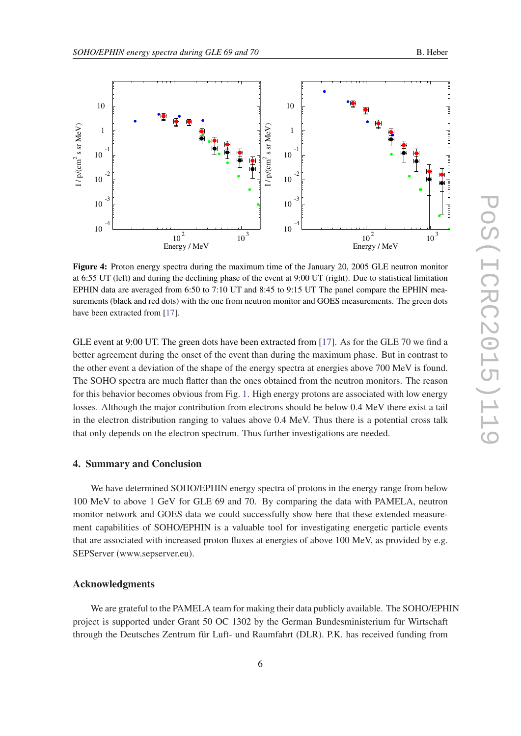

Figure 4: Proton energy spectra during the maximum time of the January 20, 2005 GLE neutron monitor at 6:55 UT (left) and during the declining phase of the event at 9:00 UT (right). Due to statistical limitation EPHIN data are averaged from 6:50 to 7:10 UT and 8:45 to 9:15 UT The panel compare the EPHIN measurements (black and red dots) with the one from neutron monitor and GOES measurements. The green dots have been extracted from [[17\]](#page-7-0).

GLE event at 9:00 UT. The green dots have been extracted from [\[17\]](#page-7-0). As for the GLE 70 we find a better agreement during the onset of the event than during the maximum phase. But in contrast to the other event a deviation of the shape of the energy spectra at energies above 700 MeV is found. The SOHO spectra are much flatter than the ones obtained from the neutron monitors. The reason for this behavior becomes obvious from Fig. [1.](#page-2-0) High energy protons are associated with low energy losses. Although the major contribution from electrons should be below 0.4 MeV there exist a tail in the electron distribution ranging to values above 0.4 MeV. Thus there is a potential cross talk that only depends on the electron spectrum. Thus further investigations are needed.

## 4. Summary and Conclusion

We have determined SOHO/EPHIN energy spectra of protons in the energy range from below 100 MeV to above 1 GeV for GLE 69 and 70. By comparing the data with PAMELA, neutron monitor network and GOES data we could successfully show here that these extended measurement capabilities of SOHO/EPHIN is a valuable tool for investigating energetic particle events that are associated with increased proton fluxes at energies of above 100 MeV, as provided by e.g. SEPServer (www.sepserver.eu).

### Acknowledgments

We are grateful to the PAMELA team for making their data publicly available. The SOHO/EPHIN project is supported under Grant 50 OC 1302 by the German Bundesministerium für Wirtschaft through the Deutsches Zentrum für Luft- und Raumfahrt (DLR). P.K. has received funding from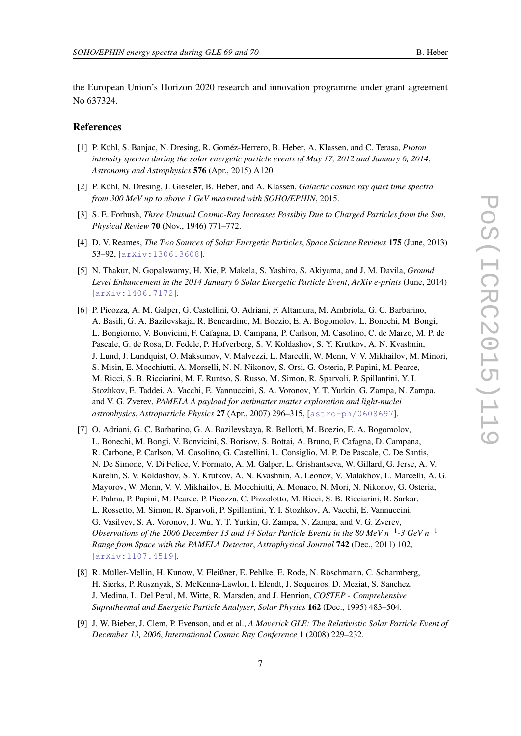<span id="page-6-0"></span>the European Union's Horizon 2020 research and innovation programme under grant agreement No 637324.

#### References

- [1] P. Kühl, S. Banjac, N. Dresing, R. Goméz-Herrero, B. Heber, A. Klassen, and C. Terasa, *Proton intensity spectra during the solar energetic particle events of May 17, 2012 and January 6, 2014*, *Astronomy and Astrophysics* 576 (Apr., 2015) A120.
- [2] P. Kühl, N. Dresing, J. Gieseler, B. Heber, and A. Klassen, *Galactic cosmic ray quiet time spectra from 300 MeV up to above 1 GeV measured with SOHO/EPHIN*, 2015.
- [3] S. E. Forbush, *Three Unusual Cosmic-Ray Increases Possibly Due to Charged Particles from the Sun*, *Physical Review* 70 (Nov., 1946) 771–772.
- [4] D. V. Reames, *The Two Sources of Solar Energetic Particles*, *Space Science Reviews* 175 (June, 2013) 53–92, [[arXiv:1306.3608](http://arxiv.org/abs/1306.3608)].
- [5] N. Thakur, N. Gopalswamy, H. Xie, P. Makela, S. Yashiro, S. Akiyama, and J. M. Davila, *Ground Level Enhancement in the 2014 January 6 Solar Energetic Particle Event*, *ArXiv e-prints* (June, 2014) [[arXiv:1406.7172](http://arxiv.org/abs/1406.7172)].
- [6] P. Picozza, A. M. Galper, G. Castellini, O. Adriani, F. Altamura, M. Ambriola, G. C. Barbarino, A. Basili, G. A. Bazilevskaja, R. Bencardino, M. Boezio, E. A. Bogomolov, L. Bonechi, M. Bongi, L. Bongiorno, V. Bonvicini, F. Cafagna, D. Campana, P. Carlson, M. Casolino, C. de Marzo, M. P. de Pascale, G. de Rosa, D. Fedele, P. Hofverberg, S. V. Koldashov, S. Y. Krutkov, A. N. Kvashnin, J. Lund, J. Lundquist, O. Maksumov, V. Malvezzi, L. Marcelli, W. Menn, V. V. Mikhailov, M. Minori, S. Misin, E. Mocchiutti, A. Morselli, N. N. Nikonov, S. Orsi, G. Osteria, P. Papini, M. Pearce, M. Ricci, S. B. Ricciarini, M. F. Runtso, S. Russo, M. Simon, R. Sparvoli, P. Spillantini, Y. I. Stozhkov, E. Taddei, A. Vacchi, E. Vannuccini, S. A. Voronov, Y. T. Yurkin, G. Zampa, N. Zampa, and V. G. Zverev, *PAMELA A payload for antimatter matter exploration and light-nuclei astrophysics*, *Astroparticle Physics* 27 (Apr., 2007) 296–315, [[astro-ph/0608697](http://arxiv.org/abs/astro-ph/0608697)].
- [7] O. Adriani, G. C. Barbarino, G. A. Bazilevskaya, R. Bellotti, M. Boezio, E. A. Bogomolov, L. Bonechi, M. Bongi, V. Bonvicini, S. Borisov, S. Bottai, A. Bruno, F. Cafagna, D. Campana, R. Carbone, P. Carlson, M. Casolino, G. Castellini, L. Consiglio, M. P. De Pascale, C. De Santis, N. De Simone, V. Di Felice, V. Formato, A. M. Galper, L. Grishantseva, W. Gillard, G. Jerse, A. V. Karelin, S. V. Koldashov, S. Y. Krutkov, A. N. Kvashnin, A. Leonov, V. Malakhov, L. Marcelli, A. G. Mayorov, W. Menn, V. V. Mikhailov, E. Mocchiutti, A. Monaco, N. Mori, N. Nikonov, G. Osteria, F. Palma, P. Papini, M. Pearce, P. Picozza, C. Pizzolotto, M. Ricci, S. B. Ricciarini, R. Sarkar, L. Rossetto, M. Simon, R. Sparvoli, P. Spillantini, Y. I. Stozhkov, A. Vacchi, E. Vannuccini, G. Vasilyev, S. A. Voronov, J. Wu, Y. T. Yurkin, G. Zampa, N. Zampa, and V. G. Zverev, *Observations of the 2006 December 13 and 14 Solar Particle Events in the 80 MeV n*−<sup>1</sup> *-3 GeV n*−<sup>1</sup> *Range from Space with the PAMELA Detector*, *Astrophysical Journal* 742 (Dec., 2011) 102, [[arXiv:1107.4519](http://arxiv.org/abs/1107.4519)].
- [8] R. Müller-Mellin, H. Kunow, V. Fleißner, E. Pehlke, E. Rode, N. Röschmann, C. Scharmberg, H. Sierks, P. Rusznyak, S. McKenna-Lawlor, I. Elendt, J. Sequeiros, D. Meziat, S. Sanchez, J. Medina, L. Del Peral, M. Witte, R. Marsden, and J. Henrion, *COSTEP - Comprehensive Suprathermal and Energetic Particle Analyser*, *Solar Physics* 162 (Dec., 1995) 483–504.
- [9] J. W. Bieber, J. Clem, P. Evenson, and et al., *A Maverick GLE: The Relativistic Solar Particle Event of December 13, 2006*, *International Cosmic Ray Conference* 1 (2008) 229–232.